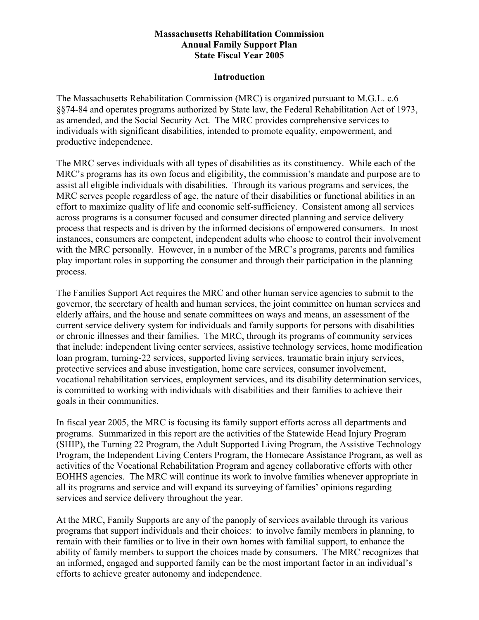#### **Massachusetts Rehabilitation Commission Annual Family Support Plan State Fiscal Year 2005**

#### **Introduction**

The Massachusetts Rehabilitation Commission (MRC) is organized pursuant to M.G.L. c.6 §§74-84 and operates programs authorized by State law, the Federal Rehabilitation Act of 1973, as amended, and the Social Security Act. The MRC provides comprehensive services to individuals with significant disabilities, intended to promote equality, empowerment, and productive independence.

The MRC serves individuals with all types of disabilities as its constituency. While each of the MRC's programs has its own focus and eligibility, the commission's mandate and purpose are to assist all eligible individuals with disabilities. Through its various programs and services, the MRC serves people regardless of age, the nature of their disabilities or functional abilities in an effort to maximize quality of life and economic self-sufficiency. Consistent among all services across programs is a consumer focused and consumer directed planning and service delivery process that respects and is driven by the informed decisions of empowered consumers. In most instances, consumers are competent, independent adults who choose to control their involvement with the MRC personally. However, in a number of the MRC's programs, parents and families play important roles in supporting the consumer and through their participation in the planning process.

The Families Support Act requires the MRC and other human service agencies to submit to the governor, the secretary of health and human services, the joint committee on human services and elderly affairs, and the house and senate committees on ways and means, an assessment of the current service delivery system for individuals and family supports for persons with disabilities or chronic illnesses and their families. The MRC, through its programs of community services that include: independent living center services, assistive technology services, home modification loan program, turning-22 services, supported living services, traumatic brain injury services, protective services and abuse investigation, home care services, consumer involvement, vocational rehabilitation services, employment services, and its disability determination services, is committed to working with individuals with disabilities and their families to achieve their goals in their communities.

In fiscal year 2005, the MRC is focusing its family support efforts across all departments and programs. Summarized in this report are the activities of the Statewide Head Injury Program (SHIP), the Turning 22 Program, the Adult Supported Living Program, the Assistive Technology Program, the Independent Living Centers Program, the Homecare Assistance Program, as well as activities of the Vocational Rehabilitation Program and agency collaborative efforts with other EOHHS agencies. The MRC will continue its work to involve families whenever appropriate in all its programs and service and will expand its surveying of families' opinions regarding services and service delivery throughout the year.

At the MRC, Family Supports are any of the panoply of services available through its various programs that support individuals and their choices: to involve family members in planning, to remain with their families or to live in their own homes with familial support, to enhance the ability of family members to support the choices made by consumers. The MRC recognizes that an informed, engaged and supported family can be the most important factor in an individual's efforts to achieve greater autonomy and independence.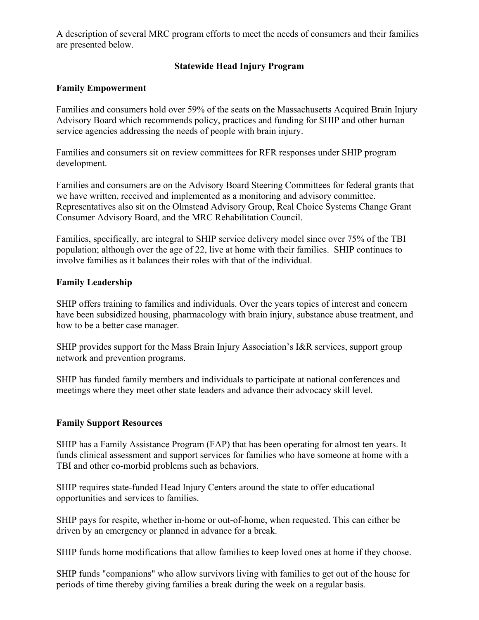A description of several MRC program efforts to meet the needs of consumers and their families are presented below.

## **Statewide Head Injury Program**

#### **Family Empowerment**

Families and consumers hold over 59% of the seats on the Massachusetts Acquired Brain Injury Advisory Board which recommends policy, practices and funding for SHIP and other human service agencies addressing the needs of people with brain injury.

Families and consumers sit on review committees for RFR responses under SHIP program development.

Families and consumers are on the Advisory Board Steering Committees for federal grants that we have written, received and implemented as a monitoring and advisory committee. Representatives also sit on the Olmstead Advisory Group, Real Choice Systems Change Grant Consumer Advisory Board, and the MRC Rehabilitation Council.

Families, specifically, are integral to SHIP service delivery model since over 75% of the TBI population; although over the age of 22, live at home with their families. SHIP continues to involve families as it balances their roles with that of the individual.

#### **Family Leadership**

SHIP offers training to families and individuals. Over the years topics of interest and concern have been subsidized housing, pharmacology with brain injury, substance abuse treatment, and how to be a better case manager.

SHIP provides support for the Mass Brain Injury Association's I&R services, support group network and prevention programs.

SHIP has funded family members and individuals to participate at national conferences and meetings where they meet other state leaders and advance their advocacy skill level.

### **Family Support Resources**

SHIP has a Family Assistance Program (FAP) that has been operating for almost ten years. It funds clinical assessment and support services for families who have someone at home with a TBI and other co-morbid problems such as behaviors.

SHIP requires state-funded Head Injury Centers around the state to offer educational opportunities and services to families.

SHIP pays for respite, whether in-home or out-of-home, when requested. This can either be driven by an emergency or planned in advance for a break.

SHIP funds home modifications that allow families to keep loved ones at home if they choose.

SHIP funds "companions" who allow survivors living with families to get out of the house for periods of time thereby giving families a break during the week on a regular basis.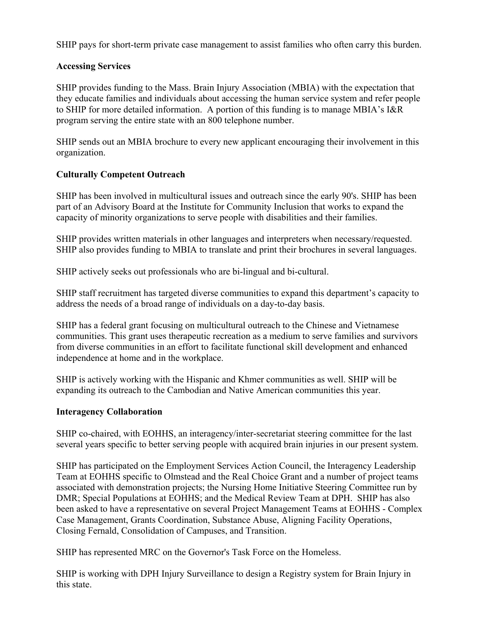SHIP pays for short-term private case management to assist families who often carry this burden.

#### **Accessing Services**

SHIP provides funding to the Mass. Brain Injury Association (MBIA) with the expectation that they educate families and individuals about accessing the human service system and refer people to SHIP for more detailed information. A portion of this funding is to manage MBIA's I&R program serving the entire state with an 800 telephone number.

SHIP sends out an MBIA brochure to every new applicant encouraging their involvement in this organization.

### **Culturally Competent Outreach**

SHIP has been involved in multicultural issues and outreach since the early 90's. SHIP has been part of an Advisory Board at the Institute for Community Inclusion that works to expand the capacity of minority organizations to serve people with disabilities and their families.

SHIP provides written materials in other languages and interpreters when necessary/requested. SHIP also provides funding to MBIA to translate and print their brochures in several languages.

SHIP actively seeks out professionals who are bi-lingual and bi-cultural.

SHIP staff recruitment has targeted diverse communities to expand this department's capacity to address the needs of a broad range of individuals on a day-to-day basis.

SHIP has a federal grant focusing on multicultural outreach to the Chinese and Vietnamese communities. This grant uses therapeutic recreation as a medium to serve families and survivors from diverse communities in an effort to facilitate functional skill development and enhanced independence at home and in the workplace.

SHIP is actively working with the Hispanic and Khmer communities as well. SHIP will be expanding its outreach to the Cambodian and Native American communities this year.

#### **Interagency Collaboration**

SHIP co-chaired, with EOHHS, an interagency/inter-secretariat steering committee for the last several years specific to better serving people with acquired brain injuries in our present system.

SHIP has participated on the Employment Services Action Council, the Interagency Leadership Team at EOHHS specific to Olmstead and the Real Choice Grant and a number of project teams associated with demonstration projects; the Nursing Home Initiative Steering Committee run by DMR; Special Populations at EOHHS; and the Medical Review Team at DPH. SHIP has also been asked to have a representative on several Project Management Teams at EOHHS - Complex Case Management, Grants Coordination, Substance Abuse, Aligning Facility Operations, Closing Fernald, Consolidation of Campuses, and Transition.

SHIP has represented MRC on the Governor's Task Force on the Homeless.

SHIP is working with DPH Injury Surveillance to design a Registry system for Brain Injury in this state.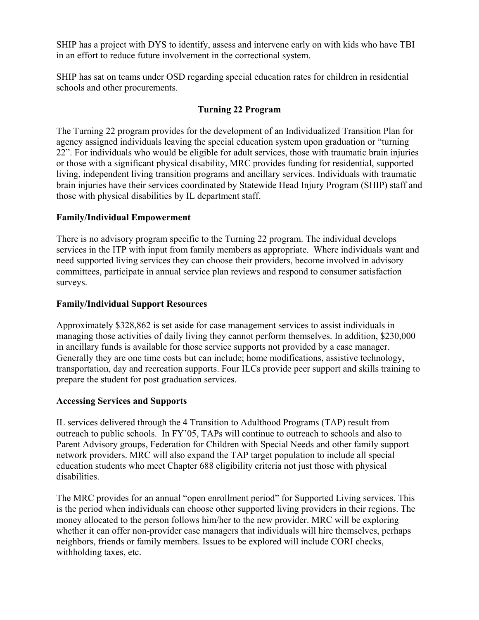SHIP has a project with DYS to identify, assess and intervene early on with kids who have TBI in an effort to reduce future involvement in the correctional system.

SHIP has sat on teams under OSD regarding special education rates for children in residential schools and other procurements.

## **Turning 22 Program**

The Turning 22 program provides for the development of an Individualized Transition Plan for agency assigned individuals leaving the special education system upon graduation or "turning 22". For individuals who would be eligible for adult services, those with traumatic brain injuries or those with a significant physical disability, MRC provides funding for residential, supported living, independent living transition programs and ancillary services. Individuals with traumatic brain injuries have their services coordinated by Statewide Head Injury Program (SHIP) staff and those with physical disabilities by IL department staff.

## **Family/Individual Empowerment**

There is no advisory program specific to the Turning 22 program. The individual develops services in the ITP with input from family members as appropriate. Where individuals want and need supported living services they can choose their providers, become involved in advisory committees, participate in annual service plan reviews and respond to consumer satisfaction surveys.

## **Family/Individual Support Resources**

Approximately \$328,862 is set aside for case management services to assist individuals in managing those activities of daily living they cannot perform themselves. In addition, \$230,000 in ancillary funds is available for those service supports not provided by a case manager. Generally they are one time costs but can include; home modifications, assistive technology, transportation, day and recreation supports. Four ILCs provide peer support and skills training to prepare the student for post graduation services.

## **Accessing Services and Supports**

IL services delivered through the 4 Transition to Adulthood Programs (TAP) result from outreach to public schools. In FY'05, TAPs will continue to outreach to schools and also to Parent Advisory groups, Federation for Children with Special Needs and other family support network providers. MRC will also expand the TAP target population to include all special education students who meet Chapter 688 eligibility criteria not just those with physical disabilities.

The MRC provides for an annual "open enrollment period" for Supported Living services. This is the period when individuals can choose other supported living providers in their regions. The money allocated to the person follows him/her to the new provider. MRC will be exploring whether it can offer non-provider case managers that individuals will hire themselves, perhaps neighbors, friends or family members. Issues to be explored will include CORI checks, withholding taxes, etc.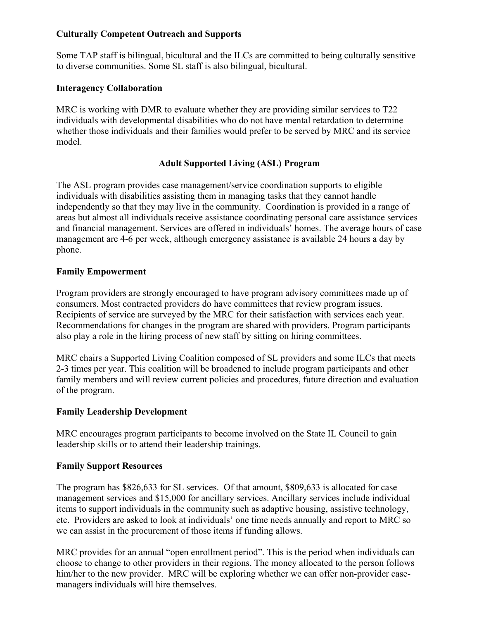## **Culturally Competent Outreach and Supports**

Some TAP staff is bilingual, bicultural and the ILCs are committed to being culturally sensitive to diverse communities. Some SL staff is also bilingual, bicultural.

## **Interagency Collaboration**

MRC is working with DMR to evaluate whether they are providing similar services to T22 individuals with developmental disabilities who do not have mental retardation to determine whether those individuals and their families would prefer to be served by MRC and its service model.

## **Adult Supported Living (ASL) Program**

The ASL program provides case management/service coordination supports to eligible individuals with disabilities assisting them in managing tasks that they cannot handle independently so that they may live in the community. Coordination is provided in a range of areas but almost all individuals receive assistance coordinating personal care assistance services and financial management. Services are offered in individuals' homes. The average hours of case management are 4-6 per week, although emergency assistance is available 24 hours a day by phone.

## **Family Empowerment**

Program providers are strongly encouraged to have program advisory committees made up of consumers. Most contracted providers do have committees that review program issues. Recipients of service are surveyed by the MRC for their satisfaction with services each year. Recommendations for changes in the program are shared with providers. Program participants also play a role in the hiring process of new staff by sitting on hiring committees.

MRC chairs a Supported Living Coalition composed of SL providers and some ILCs that meets 2-3 times per year. This coalition will be broadened to include program participants and other family members and will review current policies and procedures, future direction and evaluation of the program.

### **Family Leadership Development**

MRC encourages program participants to become involved on the State IL Council to gain leadership skills or to attend their leadership trainings.

### **Family Support Resources**

The program has \$826,633 for SL services. Of that amount, \$809,633 is allocated for case management services and \$15,000 for ancillary services. Ancillary services include individual items to support individuals in the community such as adaptive housing, assistive technology, etc. Providers are asked to look at individuals' one time needs annually and report to MRC so we can assist in the procurement of those items if funding allows.

MRC provides for an annual "open enrollment period". This is the period when individuals can choose to change to other providers in their regions. The money allocated to the person follows him/her to the new provider. MRC will be exploring whether we can offer non-provider casemanagers individuals will hire themselves.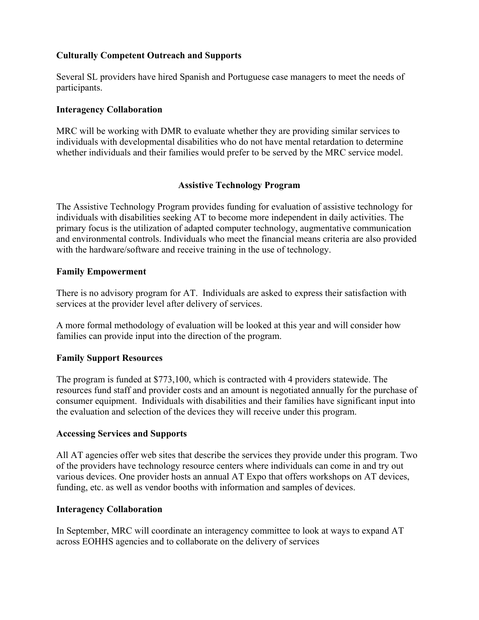## **Culturally Competent Outreach and Supports**

Several SL providers have hired Spanish and Portuguese case managers to meet the needs of participants.

#### **Interagency Collaboration**

MRC will be working with DMR to evaluate whether they are providing similar services to individuals with developmental disabilities who do not have mental retardation to determine whether individuals and their families would prefer to be served by the MRC service model.

#### **Assistive Technology Program**

The Assistive Technology Program provides funding for evaluation of assistive technology for individuals with disabilities seeking AT to become more independent in daily activities. The primary focus is the utilization of adapted computer technology, augmentative communication and environmental controls. Individuals who meet the financial means criteria are also provided with the hardware/software and receive training in the use of technology.

#### **Family Empowerment**

There is no advisory program for AT. Individuals are asked to express their satisfaction with services at the provider level after delivery of services.

A more formal methodology of evaluation will be looked at this year and will consider how families can provide input into the direction of the program.

### **Family Support Resources**

The program is funded at \$773,100, which is contracted with 4 providers statewide. The resources fund staff and provider costs and an amount is negotiated annually for the purchase of consumer equipment. Individuals with disabilities and their families have significant input into the evaluation and selection of the devices they will receive under this program.

#### **Accessing Services and Supports**

All AT agencies offer web sites that describe the services they provide under this program. Two of the providers have technology resource centers where individuals can come in and try out various devices. One provider hosts an annual AT Expo that offers workshops on AT devices, funding, etc. as well as vendor booths with information and samples of devices.

#### **Interagency Collaboration**

In September, MRC will coordinate an interagency committee to look at ways to expand AT across EOHHS agencies and to collaborate on the delivery of services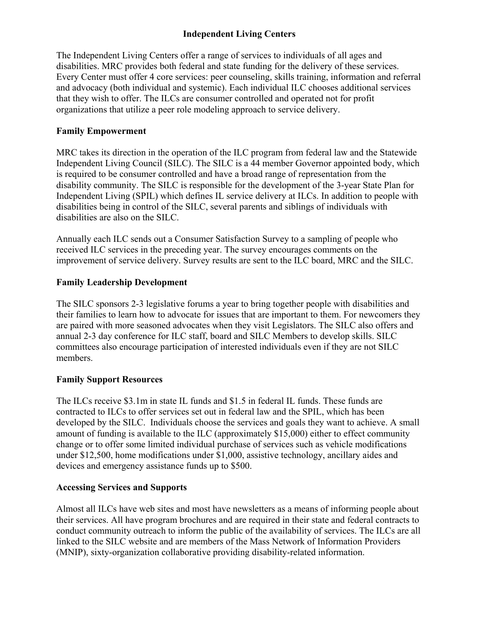## **Independent Living Centers**

The Independent Living Centers offer a range of services to individuals of all ages and disabilities. MRC provides both federal and state funding for the delivery of these services. Every Center must offer 4 core services: peer counseling, skills training, information and referral and advocacy (both individual and systemic). Each individual ILC chooses additional services that they wish to offer. The ILCs are consumer controlled and operated not for profit organizations that utilize a peer role modeling approach to service delivery.

## **Family Empowerment**

MRC takes its direction in the operation of the ILC program from federal law and the Statewide Independent Living Council (SILC). The SILC is a 44 member Governor appointed body, which is required to be consumer controlled and have a broad range of representation from the disability community. The SILC is responsible for the development of the 3-year State Plan for Independent Living (SPIL) which defines IL service delivery at ILCs. In addition to people with disabilities being in control of the SILC, several parents and siblings of individuals with disabilities are also on the SILC.

Annually each ILC sends out a Consumer Satisfaction Survey to a sampling of people who received ILC services in the preceding year. The survey encourages comments on the improvement of service delivery. Survey results are sent to the ILC board, MRC and the SILC.

## **Family Leadership Development**

The SILC sponsors 2-3 legislative forums a year to bring together people with disabilities and their families to learn how to advocate for issues that are important to them. For newcomers they are paired with more seasoned advocates when they visit Legislators. The SILC also offers and annual 2-3 day conference for ILC staff, board and SILC Members to develop skills. SILC committees also encourage participation of interested individuals even if they are not SILC members.

## **Family Support Resources**

The ILCs receive \$3.1m in state IL funds and \$1.5 in federal IL funds. These funds are contracted to ILCs to offer services set out in federal law and the SPIL, which has been developed by the SILC. Individuals choose the services and goals they want to achieve. A small amount of funding is available to the ILC (approximately \$15,000) either to effect community change or to offer some limited individual purchase of services such as vehicle modifications under \$12,500, home modifications under \$1,000, assistive technology, ancillary aides and devices and emergency assistance funds up to \$500.

# **Accessing Services and Supports**

Almost all ILCs have web sites and most have newsletters as a means of informing people about their services. All have program brochures and are required in their state and federal contracts to conduct community outreach to inform the public of the availability of services. The ILCs are all linked to the SILC website and are members of the Mass Network of Information Providers (MNIP), sixty-organization collaborative providing disability-related information.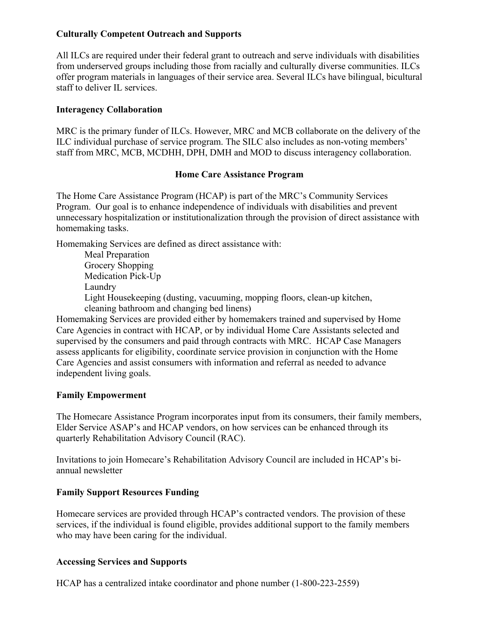## **Culturally Competent Outreach and Supports**

All ILCs are required under their federal grant to outreach and serve individuals with disabilities from underserved groups including those from racially and culturally diverse communities. ILCs offer program materials in languages of their service area. Several ILCs have bilingual, bicultural staff to deliver IL services.

## **Interagency Collaboration**

MRC is the primary funder of ILCs. However, MRC and MCB collaborate on the delivery of the ILC individual purchase of service program. The SILC also includes as non-voting members' staff from MRC, MCB, MCDHH, DPH, DMH and MOD to discuss interagency collaboration.

### **Home Care Assistance Program**

The Home Care Assistance Program (HCAP) is part of the MRC's Community Services Program. Our goal is to enhance independence of individuals with disabilities and prevent unnecessary hospitalization or institutionalization through the provision of direct assistance with homemaking tasks.

Homemaking Services are defined as direct assistance with:

Meal Preparation Grocery Shopping Medication Pick-Up Laundry Light Housekeeping (dusting, vacuuming, mopping floors, clean-up kitchen, cleaning bathroom and changing bed linens)

Homemaking Services are provided either by homemakers trained and supervised by Home Care Agencies in contract with HCAP, or by individual Home Care Assistants selected and supervised by the consumers and paid through contracts with MRC. HCAP Case Managers assess applicants for eligibility, coordinate service provision in conjunction with the Home Care Agencies and assist consumers with information and referral as needed to advance independent living goals.

## **Family Empowerment**

The Homecare Assistance Program incorporates input from its consumers, their family members, Elder Service ASAP's and HCAP vendors, on how services can be enhanced through its quarterly Rehabilitation Advisory Council (RAC).

Invitations to join Homecare's Rehabilitation Advisory Council are included in HCAP's biannual newsletter

## **Family Support Resources Funding**

Homecare services are provided through HCAP's contracted vendors. The provision of these services, if the individual is found eligible, provides additional support to the family members who may have been caring for the individual.

## **Accessing Services and Supports**

HCAP has a centralized intake coordinator and phone number (1-800-223-2559)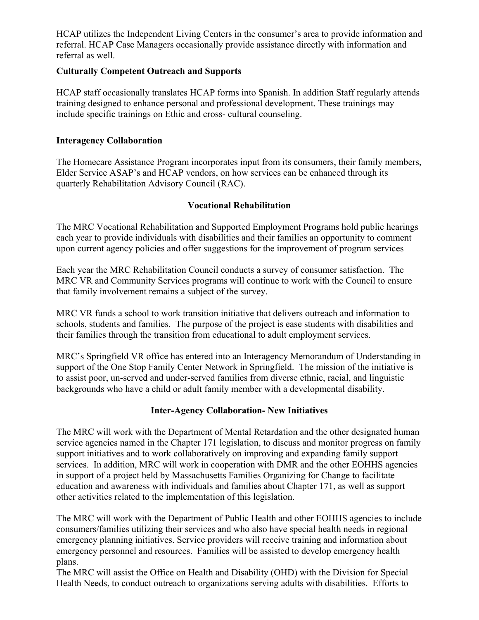HCAP utilizes the Independent Living Centers in the consumer's area to provide information and referral. HCAP Case Managers occasionally provide assistance directly with information and referral as well.

### **Culturally Competent Outreach and Supports**

HCAP staff occasionally translates HCAP forms into Spanish. In addition Staff regularly attends training designed to enhance personal and professional development. These trainings may include specific trainings on Ethic and cross- cultural counseling.

## **Interagency Collaboration**

The Homecare Assistance Program incorporates input from its consumers, their family members, Elder Service ASAP's and HCAP vendors, on how services can be enhanced through its quarterly Rehabilitation Advisory Council (RAC).

### **Vocational Rehabilitation**

The MRC Vocational Rehabilitation and Supported Employment Programs hold public hearings each year to provide individuals with disabilities and their families an opportunity to comment upon current agency policies and offer suggestions for the improvement of program services

Each year the MRC Rehabilitation Council conducts a survey of consumer satisfaction. The MRC VR and Community Services programs will continue to work with the Council to ensure that family involvement remains a subject of the survey.

MRC VR funds a school to work transition initiative that delivers outreach and information to schools, students and families. The purpose of the project is ease students with disabilities and their families through the transition from educational to adult employment services.

MRC's Springfield VR office has entered into an Interagency Memorandum of Understanding in support of the One Stop Family Center Network in Springfield. The mission of the initiative is to assist poor, un-served and under-served families from diverse ethnic, racial, and linguistic backgrounds who have a child or adult family member with a developmental disability.

## **Inter-Agency Collaboration- New Initiatives**

The MRC will work with the Department of Mental Retardation and the other designated human service agencies named in the Chapter 171 legislation, to discuss and monitor progress on family support initiatives and to work collaboratively on improving and expanding family support services. In addition, MRC will work in cooperation with DMR and the other EOHHS agencies in support of a project held by Massachusetts Families Organizing for Change to facilitate education and awareness with individuals and families about Chapter 171, as well as support other activities related to the implementation of this legislation.

The MRC will work with the Department of Public Health and other EOHHS agencies to include consumers/families utilizing their services and who also have special health needs in regional emergency planning initiatives. Service providers will receive training and information about emergency personnel and resources. Families will be assisted to develop emergency health plans.

The MRC will assist the Office on Health and Disability (OHD) with the Division for Special Health Needs, to conduct outreach to organizations serving adults with disabilities. Efforts to